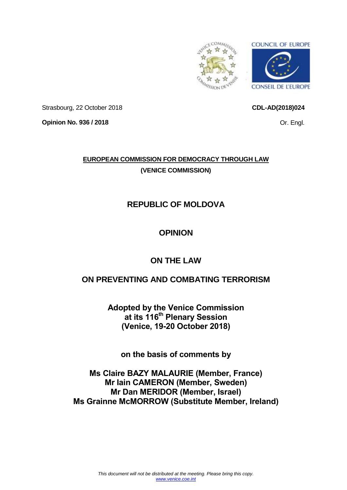<span id="page-0-0"></span>

Strasbourg, 22 October 2018

**Opinion No. 936 / 2018**

# **EUROPEAN COMMISSION FOR DEMOCRACY THROUGH LAW (VENICE COMMISSION)**

# **REPUBLIC OF MOLDOVA**

# **OPINION**

# **ON THE LAW**

# **ON PREVENTING AND COMBATING TERRORISM**

**Adopted by the Venice Commission at its 116th Plenary Session (Venice, 19-20 October 2018)**

**on the basis of comments by**

**Ms Claire BAZY MALAURIE (Member, France) Mr Iain CAMERON (Member, Sweden) Mr Dan MERIDOR (Member, Israel) Ms Grainne McMORROW (Substitute Member, Ireland)**

Or. Engl.

**CDL-AD(2018)024**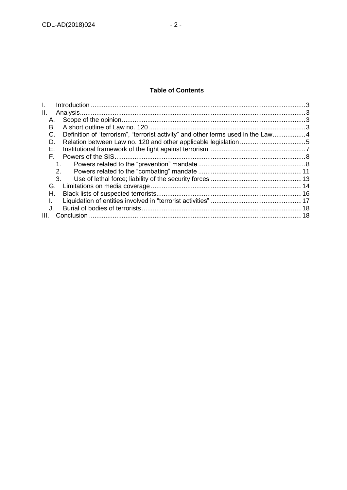# **Table of Contents**

| II.  |                                                                                  |  |
|------|----------------------------------------------------------------------------------|--|
| А.   |                                                                                  |  |
| В.   |                                                                                  |  |
| C.   | Definition of "terrorism", "terrorist activity" and other terms used in the Law4 |  |
| D.   |                                                                                  |  |
| Е.   |                                                                                  |  |
| F.   |                                                                                  |  |
|      |                                                                                  |  |
|      | 2.                                                                               |  |
| 3.   |                                                                                  |  |
| G.   |                                                                                  |  |
| Н.   |                                                                                  |  |
|      |                                                                                  |  |
| J.   |                                                                                  |  |
| III. |                                                                                  |  |
|      |                                                                                  |  |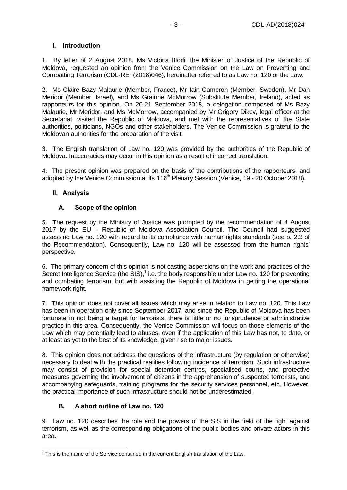## <span id="page-2-0"></span>**I. Introduction**

1. By letter of 2 August 2018, Ms Victoria Iftodi, the Minister of Justice of the Republic of Moldova, requested an opinion from the Venice Commission on the Law on Preventing and Combatting Terrorism (CDL-REF(2018)046), hereinafter referred to as Law no. 120 or the Law.

2. Ms Claire Bazy Malaurie (Member, France), Mr Iain Cameron (Member, Sweden), Mr Dan Meridor (Member, Israel), and Ms Grainne McMorrow (Substitute Member, Ireland), acted as rapporteurs for this opinion. On 20-21 September 2018, a delegation composed of Ms Bazy Malaurie, Mr Meridor, and Ms McMorrow, accompanied by Mr Grigory Dikov, legal officer at the Secretariat, visited the Republic of Moldova, and met with the representatives of the State authorities, politicians, NGOs and other stakeholders. The Venice Commission is grateful to the Moldovan authorities for the preparation of the visit.

3. The English translation of Law no. 120 was provided by the authorities of the Republic of Moldova. Inaccuracies may occur in this opinion as a result of incorrect translation.

4. The present opinion was prepared on the basis of the contributions of the rapporteurs, and adopted by the Venice Commission at its 116<sup>th</sup> Plenary Session (Venice, 19 - 20 October 2018).

## <span id="page-2-1"></span>**II. Analysis**

## **A. Scope of the opinion**

<span id="page-2-2"></span>5. The request by the Ministry of Justice was prompted by the recommendation of 4 August 2017 by the EU – Republic of Moldova Association Council. The Council had suggested assessing Law no. 120 with regard to its compliance with human rights standards (see p. 2.3 of the Recommendation). Consequently, Law no. 120 will be assessed from the human rights' perspective.

6. The primary concern of this opinion is not casting aspersions on the work and practices of the Secret Intelligence Service (the SIS), $<sup>1</sup>$  i.e. the body responsible under Law no. 120 for preventing</sup> and combating terrorism, but with assisting the Republic of Moldova in getting the operational framework right.

7. This opinion does not cover all issues which may arise in relation to Law no. 120. This Law has been in operation only since September 2017, and since the Republic of Moldova has been fortunate in not being a target for terrorists, there is little or no jurisprudence or administrative practice in this area. Consequently, the Venice Commission will focus on those elements of the Law which may potentially lead to abuses, even if the application of this Law has not, to date, or at least as yet to the best of its knowledge, given rise to major issues.

8. This opinion does not address the questions of the infrastructure (by regulation or otherwise) necessary to deal with the practical realities following incidence of terrorism. Such infrastructure may consist of provision for special detention centres, specialised courts, and protective measures governing the involvement of citizens in the apprehension of suspected terrorists, and accompanying safeguards, training programs for the security services personnel, etc. However, the practical importance of such infrastructure should not be underestimated.

# **B. A short outline of Law no. 120**

<span id="page-2-3"></span>9. Law no. 120 describes the role and the powers of the SIS in the field of the fight against terrorism, as well as the corresponding obligations of the public bodies and private actors in this area.

<sup>-</sup> $1$  This is the name of the Service contained in the current English translation of the Law.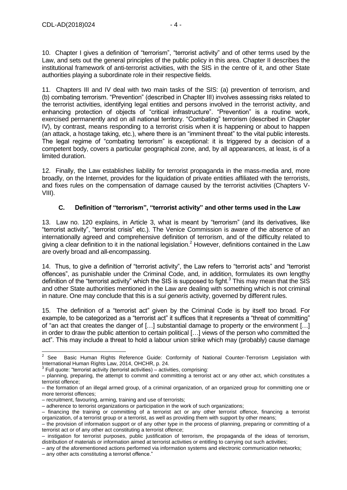10. Chapter I gives a definition of "terrorism", "terrorist activity" and of other terms used by the Law, and sets out the general principles of the public policy in this area. Chapter II describes the institutional framework of anti-terrorist activities, with the SIS in the centre of it, and other State authorities playing a subordinate role in their respective fields.

11. Chapters III and IV deal with two main tasks of the SIS: (a) prevention of terrorism, and (b) combating terrorism. "Prevention" (described in Chapter III) involves assessing risks related to the terrorist activities, identifying legal entities and persons involved in the terrorist activity, and enhancing protection of objects of "critical infrastructure". "Prevention" is a routine work, exercised permanently and on all national territory. "Combating" terrorism (described in Chapter IV), by contrast, means responding to a terrorist crisis when it is happening or about to happen (an attack, a hostage taking, etc.), where there is an "imminent threat" to the vital public interests. The legal regime of "combating terrorism" is exceptional: it is triggered by a decision of a competent body, covers a particular geographical zone, and, by all appearances, at least, is of a limited duration.

12. Finally, the Law establishes liability for terrorist propaganda in the mass-media and, more broadly, on the Internet, provides for the liquidation of private entities affiliated with the terrorists, and fixes rules on the compensation of damage caused by the terrorist activities (Chapters V-VIII).

#### **C. Definition of "terrorism", "terrorist activity" and other terms used in the Law**

<span id="page-3-0"></span>13. Law no. 120 explains, in Article 3, what is meant by "terrorism" (and its derivatives, like "terrorist activity", "terrorist crisis" etc.). The Venice Commission is aware of the absence of an internationally agreed and comprehensive definition of terrorism, and of the difficulty related to giving a clear definition to it in the national legislation.<sup>2</sup> However, definitions contained in the Law are overly broad and all-encompassing.

14. Thus, to give a definition of "terrorist activity", the Law refers to "terrorist acts" and "terrorist offences", as punishable under the Criminal Code, and, in addition, formulates its own lengthy definition of the "terrorist activity" which the SIS is supposed to fight. $3$  This may mean that the SIS and other State authorities mentioned in the Law are dealing with something which is not criminal in nature. One may conclude that this is a *sui generis* activity, governed by different rules.

15. The definition of a "terrorist act" given by the Criminal Code is by itself too broad. For example, to be categorized as a "terrorist act" it suffices that it represents a "threat of committing" of "an act that creates the danger of […] substantial damage to property or the environment […] in order to draw the public attention to certain political […] views of the person who committed the act". This may include a threat to hold a labour union strike which may (probably) cause damage

 $\frac{1}{2}$ Basic Human Rights Reference Guide: Conformity of National Counter-Terrorism Legislation with International Human Rights Law, 2014, OHCHR, p. 24.<br><sup>3</sup> Eull quote: "terrerist activity (terrerist activities), activit

Full quote: "terrorist activity (terrorist activities) – activities, comprising:

<sup>–</sup> planning, preparing, the attempt to commit and committing a terrorist act or any other act, which constitutes a terrorist offence;

<sup>–</sup> the formation of an illegal armed group, of a criminal organization, of an organized group for committing one or more terrorist offences;

<sup>–</sup> recruitment, favouring, arming, training and use of terrorists;

<sup>–</sup> adherence to terrorist organizations or participation in the work of such organizations;

<sup>–</sup> financing the training or committing of a terrorist act or any other terrorist offence, financing a terrorist organization, of a terrorist group or a terrorist, as well as providing them with support by other means;

<sup>–</sup> the provision of information support or of any other type in the process of planning, preparing or committing of a terrorist act or of any other act constituting a terrorist offence;

<sup>–</sup> instigation for terrorist purposes, public justification of terrorism, the propaganda of the ideas of terrorism, distribution of materials or information aimed at terrorist activities or entitling to carrying out such activities;

<sup>–</sup> any of the aforementioned actions performed via information systems and electronic communication networks;

<sup>–</sup> any other acts constituting a terrorist offence."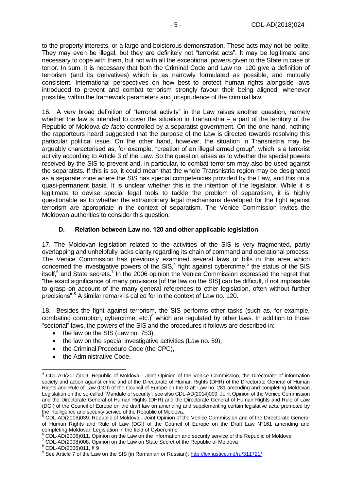to the property interests, or a large and boisterous demonstration. These acts may not be polite. They may even be illegal, but they are definitely not "terrorist acts". It may be legitimate and necessary to cope with them, but not with all the exceptional powers given to the State in case of terror. In sum, it is necessary that both the Criminal Code and Law no. 120 give a definition of terrorism (and its derivatives) which is as narrowly formulated as possible, and mutually consistent. International perspectives on how best to protect human rights alongside laws introduced to prevent and combat terrorism strongly favour their being aligned, whenever possible, within the framework parameters and jurisprudence of the criminal law.

16. A very broad definition of "terrorist activity" in the Law raises another question, namely whether the law is intended to cover the situation in Transnistria – a part of the territory of the Republic of Moldova *de facto* controlled by a separatist government. On the one hand, nothing the rapporteurs heard suggested that the purpose of the Law is directed towards resolving this particular political issue. On the other hand, however, the situation in Transnistria may be arguably characterised as, for example, "creation of an illegal armed group", which is a terrorist activity according to Article 3 of the Law. So the question arises as to whether the special powers received by the SIS to prevent and, in particular, to combat terrorism may also be used against the separatists. If this is so, it could mean that the whole Transnistria region may be designated as a separate zone where the SIS has special competencies provided by the Law, and this on a quasi-permanent basis. It is unclear whether this is the intention of the legislator. While it is legitimate to devise special legal tools to tackle the problem of separatism, it is highly questionable as to whether the extraordinary legal mechanisms developed for the fight against terrorism are appropriate in the context of separatism. The Venice Commission invites the Moldovan authorities to consider this question.

#### **D. Relation between Law no. 120 and other applicable legislation**

<span id="page-4-0"></span>17. The Moldovan legislation related to the activities of the SIS is very fragmented, partly overlapping and unhelpfully lacks clarity regarding its chain of command and operational process. The Venice Commission has previously examined several laws or bills in this area which concerned the investigative powers of the SIS, $<sup>4</sup>$  fight against cybercrime,<sup>5</sup> the status of the SIS</sup> itself, $6$  and State secrets.<sup>7</sup> In the 2006 opinion the Venice Commission expressed the regret that "the exact significance of many provisions [of the law on the SIS] can be difficult, if not impossible to grasp on account of the many general references to other legislation, often without further precisions".<sup>8</sup> A similar remark is called for in the context of Law no. 120.

18. Besides the fight against terrorism, the SIS performs other tasks (such as, for example, combating corruption, cybercrime, etc.) $9$  which are regulated by other laws. In addition to those "sectorial" laws, the powers of the SIS and the procedures it follows are described in:

- $\bullet$  the law on the SIS (Law no. 753),
- $\bullet$  the law on the special investigative activities (Law no. 59),
- the Criminal Procedure Code (the CPC),
- the Administrative Code.

<sup>7</sup> CDL-AD(2008)008, Opinion on the Law on State Secret of the Republic of Moldova

<sup>&</sup>lt;sup>4</sup> CDL-AD(2017)009, Republic of Moldova - Joint Opinion of the Venice Commission, the Directorate of information society and action against crime and of the Directorate of Human Rights (DHR) of the Directorate General of Human Rights and Rule of Law (DGI) of the Council of Europe on the Draft Law no. 281 amending and completing Moldovan Legislation on the so-called "Mandate of security"; see also CDL-AD(2014)009, Joint Opinion of the Venice Commission and the Directorate General of Human Rights (DHR) and the Directorate General of Human Rights and Rule of Law (DGI) of the Council of Europe on the draft law on amending and supplementing certain legislative acts, promoted by the intelligence and security service of the Republic of Moldova.

<sup>5</sup> CDL-AD(2016)039, Republic of Moldova - Joint Opinion of the Venice Commission and of the Directorate General of Human Rights and Rule of Law (DGI) of the Council of Europe on the Draft Law N°161 amending and completing Moldovan Legislation in the field of Cybercrime

<sup>6</sup> CDL-AD(2006)011, Opinion on the Law on the information and security service of the Republic of Moldova

<sup>8</sup> CDL-AD(2006)011, § 9

<sup>&</sup>lt;sup>9</sup> See Article 7 of the Law on the SIS (in Romanian or Russian):<http://lex.justice.md/ru/311721/>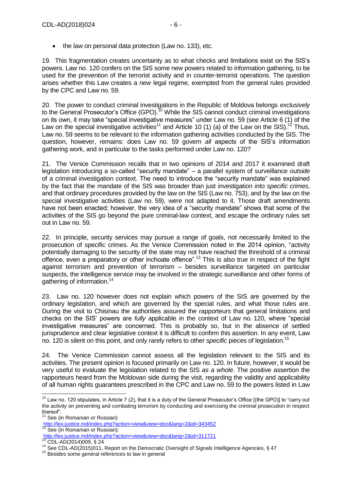• the law on personal data protection (Law no. 133), etc.

19. This fragmentation creates uncertainty as to what checks and limitations exist on the SIS's powers. Law no. 120 confers on the SIS some new powers related to information gathering, to be used for the prevention of the terrorist activity and in counter-terrorist operations. The question arises whether this Law creates a *new* legal regime, exempted from the general rules provided by the CPC and Law no. 59.

20. The power to conduct criminal investigations in the Republic of Moldova belongs *exclusively* to the General Prosecutor's Office (GPO).<sup>10</sup> While the SIS cannot conduct criminal investigations on its own, it may take "special investigative measures" under Law no. 59 (see Article 6 (1) of the Law on the special investigative activities<sup>11</sup> and Article 10 (1) (a) of the Law on the SIS).<sup>12</sup> Thus, Law no. 59 seems to be relevant to the information gathering activities conducted by the SIS. The question, however, remains: does Law no. 59 govern *all* aspects of the SIS's information gathering work, and in particular to the tasks performed under Law no. 120?

21. The Venice Commission recalls that in two opinions of 2014 and 2017 it examined draft legislation introducing a so-called "security mandate" – a parallel system of surveillance *outside* of a criminal investigation context. The need to introduce the "security mandate" was explained by the fact that the mandate of the SIS was broader than just investigation *into specific crimes*, and that ordinary procedures provided by the law on the SIS (Law no. 753), and by the law on the special investigative activities (Law no. 59), were not adapted to it. Those draft amendments have not been enacted; however, the very idea of a "security mandate" shows that some of the activities of the SIS go beyond the pure criminal-law context, and escape the ordinary rules set out in Law no. 59.

22. In principle, security services may pursue a range of goals, not necessarily limited to the prosecution of specific crimes. As the Venice Commission noted in the 2014 opinion, "activity potentially damaging to the security of the state may not have reached the threshold of a criminal offence, even a preparatory or other inchoate offence".<sup>13</sup> This is also true in respect of the fight against terrorism and prevention of terrorism – besides surveillance targeted on particular suspects, the intelligence service may be involved in the strategic surveillance and other forms of gathering of information. 14

23. Law no. 120 however does not explain which powers of the SIS are governed by the ordinary legislation, and which are governed by the special rules, and what those rules are. During the visit to Chisinau the authorities assured the rapporteurs that general limitations and checks on the SIS' powers are *fully* applicable in the context of Law no. 120, where "special investigative measures" are concerned. This is probably so, but in the absence of settled jurisprudence and clear legislative context it is difficult to confirm this assertion. In any event, Law no. 120 is silent on this point, and only rarely refers to other *specific* pieces of legislation.<sup>15</sup>

24. The Venice Commission cannot assess all the legislation relevant to the SIS and its activities. The present opinion is focused primarily on Law no. 120. In future, however, it would be very useful to evaluate the legislation related to the SIS *as a whole*. The positive assertion the rapporteurs heard from the Moldovan side during the visit, regarding the validity and applicability of all human rights guarantees prescribed in the CPC and Law no. 59 to the powers listed in Law

<sup>-</sup> $10$  Law no. 120 stipulates, in Article 7 (2), that it is a duty of the General Prosecutor's Office [(the GPO)] to "carry out the activity on preventing and combating terrorism by conducting and exercising the criminal prosecution in respect thereof".

<sup>&</sup>lt;sup>11</sup> See (in Romanian or Russian)

<http://lex.justice.md/index.php?action=view&view=doc&lang=2&id=343452>

<sup>&</sup>lt;sup>12</sup> See (in Romanian or Russian): <http://lex.justice.md/index.php?action=view&view=doc&lang=2&id=311721>

<sup>13</sup> CDL-AD(2014)009, § 24

<sup>&</sup>lt;sup>14</sup> See CDL-AD(2015)011, Report on the Democratic Oversight of Signals Intelligence Agencies, § 47

<sup>&</sup>lt;sup>15</sup> Besides some general references to law in general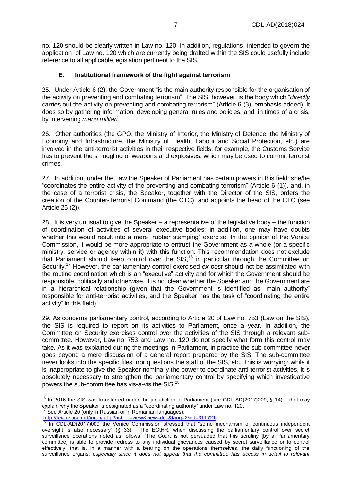no. 120 should be clearly written in Law no. 120. In addition, regulations intended to govern the application of Law no. 120 which are currently being drafted within the SIS could usefully include reference to all applicable legislation pertinent to the SIS.

#### **E. Institutional framework of the fight against terrorism**

<span id="page-6-0"></span>25. Under Article 6 (2), the Government "is the main authority responsible for the organisation of the activity on preventing and combating terrorism". The SIS, however, is the body which "*directly* carries out the activity on preventing and combating terrorism" (Article 6 (3), emphasis added). It does so by gathering information, developing general rules and policies, and, in times of a crisis, by intervening *manu militari*.

26. Other authorities (the GPO, the Ministry of Interior, the Ministry of Defence, the Ministry of Economy and Infrastructure, the Ministry of Health, Labour and Social Protection, etc.) are involved in the anti-terrorist activities in their respective fields: for example, the Customs Service has to prevent the smuggling of weapons and explosives, which may be used to commit terrorist crimes.

27. In addition, under the Law the Speaker of Parliament has certain powers in this field: she/he "coordinates the entire activity of the preventing and combating terrorism" (Article 6 (1)), and, in the case of a terrorist crisis, the Speaker, together with the Director of the SIS, orders the creation of the Counter-Terrorist Command (the CTC), and appoints the head of the CTC (see Article 25 (2)).

28. It is very unusual to give the Speaker – a representative of the legislative body – the function of coordination of activities of several executive bodies; in addition, one may have doubts whether this would result into a mere "rubber stamping" exercise. In the opinion of the Venice Commission, it would be more appropriate to entrust the Government as a whole (or a specific ministry, service or agency within it) with this function. This recommendation does not exclude that Parliament should keep control over the SIS,<sup>16</sup> in particular through the Committee on Security. <sup>17</sup> However, the parliamentary control exercised *ex post* should not be assimilated with the routine coordination which is an "executive" activity and for which the Government should be responsible, politically and otherwise. It is not clear whether the Speaker and the Government are in a hierarchical relationship (given that the Government is identified as "main authority" responsible for anti-terrorist activities, and the Speaker has the task of "coordinating the entire activity" in this field).

29. As concerns parliamentary control, according to Article 20 of Law no. 753 (Law on the SIS), the SIS is required to report on its activities to Parliament, once a year. In addition, the Committee on Security exercises control over the activities of the SIS through a relevant subcommittee. However, Law no. 753 and Law no. 120 do not specify what form this control may take. As it was explained during the meetings in Parliament, in practice the sub-committee never goes beyond a mere discussion of a general report prepared by the SIS. The sub-committee never looks into the specific files, nor questions the staff of the SIS, etc. This is worrying: while it is inappropriate to give the Speaker nominally the power to coordinate anti-terrorist activities, it is absolutely necessary to strengthen the parliamentary control by specifying which investigative powers the sub-committee has vis-à-vis the SIS.<sup>18</sup>

See Article 20 (only in Russian or in Romanian languages):

<sup>-</sup><sup>16</sup> In 2016 the SIS was transferred under the jurisdiction of Parliament (see CDL-AD(2017)009, § 14) – that may explain why the Speaker is designated as a "coordinating authority" under Law no. 120.

<http://lex.justice.md/index.php?action=view&view=doc&lang=2&id=311721>

 $18$  In CDL-AD(2017)009 the Venice Commission stressed that "some mechanism of continuous independent oversight is also necessary" (§ 33). The ECtHR, when discussing the parliamentary control over secret surveillance operations noted as follows: "The Court is not persuaded that this scrutiny [by a Parliamentary committee] is able to provide redress to any individual grievances caused by secret surveillance or to control effectively, that is, in a manner with a bearing on the operations themselves, the daily functioning of the surveillance organs, *especially since it does not appear that the committee has access in detail to relevant*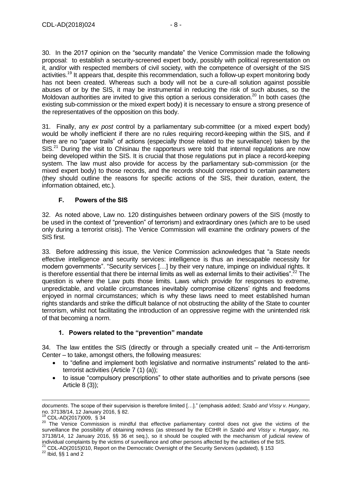30. In the 2017 opinion on the "security mandate" the Venice Commission made the following proposal: to establish a security-screened expert body, possibly with political representation on it, and/or with respected members of civil society, with the competence of oversight of the SIS activities.<sup>19</sup> It appears that, despite this recommendation, such a follow-up expert monitoring body has not been created. Whereas such a body will not be a cure-all solution against possible abuses of or by the SIS, it may be instrumental in reducing the risk of such abuses, so the Moldovan authorities are invited to give this option a serious consideration.<sup>20</sup> In both cases (the existing sub-commission or the mixed expert body) it is necessary to ensure a strong presence of the representatives of the opposition on this body.

31. Finally, any *ex post* control by a parliamentary sub-committee (or a mixed expert body) would be wholly inefficient if there are no rules requiring record-keeping within the SIS, and if there are no "paper trails" of actions (especially those related to the surveillance) taken by the  $SIS<sup>21</sup>$  During the visit to Chisinau the rapporteurs were told that internal regulations are now being developed within the SIS. It is crucial that those regulations put in place a record-keeping system. The law must also provide for access by the parliamentary sub-commission (or the mixed expert body) to those records, and the records should correspond to certain parameters (they should outline the reasons for specific actions of the SIS, their duration, extent, the information obtained, etc.).

## **F. Powers of the SIS**

<span id="page-7-0"></span>32. As noted above, Law no. 120 distinguishes between ordinary powers of the SIS (mostly to be used in the context of "prevention" of terrorism) and extraordinary ones (which are to be used only during a terrorist crisis). The Venice Commission will examine the ordinary powers of the SIS first.

33. Before addressing this issue, the Venice Commission acknowledges that "a State needs effective intelligence and security services: intelligence is thus an inescapable necessity for modern governments". "Security services […] by their very nature, impinge on individual rights. It is therefore essential that there be internal limits as well as external limits to their activities".<sup>22</sup> The question is where the Law puts those limits. Laws which provide for responses to extreme, unpredictable, and volatile circumstances inevitably compromise citizens' rights and freedoms enjoyed in normal circumstances; which is why these laws need to meet established human rights standards and strike the difficult balance of not obstructing the ability of the State to counter terrorism, whilst not facilitating the introduction of an oppressive regime with the unintended risk of that becoming a norm.

#### **1. Powers related to the "prevention" mandate**

<span id="page-7-1"></span>34. The law entitles the SIS (directly or through a specially created unit – the Anti-terrorism Center – to take, amongst others, the following measures:

- to "define and implement both legislative and normative instruments" related to the antiterrorist activities (Article 7 (1) (a));
- to issue "compulsory prescriptions" to other state authorities and to private persons (see Article 8 (3));

*documents*. The scope of their supervision is therefore limited […]." (emphasis added; *Szabó and Vissy v. Hungary*, no. 37138/14, 12 January 2016, § 82.

<sup>19</sup> CDL-AD(2017)009, § 34

<sup>20</sup> The Venice Commission is mindful that effective parliamentary control does not give the victims of the surveillance the possibility of obtaining redress (as stressed by the ECtHR in *Szabó and Vissy v. Hungary*, no. 37138/14, 12 January 2016, §§ 36 et seq.), so it should be coupled with the mechanism of judicial review of individual complaints by the victims of surveillance and other persons affected by the activities of the SIS.

 $21$  CDL-AD(2015)010, Report on the Democratic Oversight of the Security Services (updated), § 153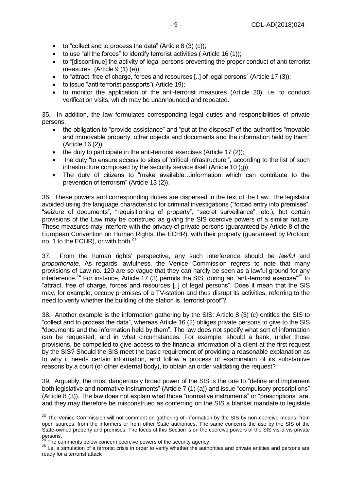- $\bullet$  to "collect and to process the data" (Article 8 (3) (c));
- $\bullet$  to use "all the forces" to identify terrorist activities (Article 16 (1));
- to "[discontinue] the activity of legal persons preventing the proper conduct of anti-terrorist measures" (Article 9 (1) (e)):
- $\bullet$  to "attract, free of charge, forces and resources [..] of legal persons" (Article 17 (3));
- to issue "anti-terrorist passports"( Article 19);
- to monitor the application of the anti-terrorist measures (Article 20), i.e. to conduct verification visits, which may be unannounced and repeated.

35. In addition, the law formulates corresponding legal duties and responsibilities of private persons:

- the obligation to "provide assistance" and "put at the disposal" of the authorities "movable and immovable property, other objects and documents and the information held by them" (Article 16 (2));
- $\bullet$  the duty to participate in the anti-terrorist exercises (Article 17 (2));
- the duty "to ensure access to sites of 'critical infrastructure", according to the list of such infrastructure composed by the security service itself (Article 10 (g));
- The duty of citizens to "make available…information which can contribute to the prevention of terrorism" (Article 13 (2)).

36. These powers and corresponding duties are dispersed in the text of the Law. The legislator avoided using the language characteristic for criminal investigations ("forced entry into premises", "seizure of documents", "requisitioning of property", "secret surveillance", etc.), but certain provisions of the Law may be construed as giving the SIS coercive powers of a similar nature. These measures may interfere with the privacy of private persons (guaranteed by Article 8 of the European Convention on Human Rights, the ECHR), with their property (guaranteed by Protocol no. 1 to the ECHR), or with both.<sup>23</sup>

37. From the human rights' perspective, any such interference should be *lawful* and *proportionate*. As regards lawfulness, the Venice Commission regrets to note that many provisions of Law no. 120 are so vague that they can hardly be seen as a lawful ground for any interference.<sup>24</sup> For instance, Article 17 (3) permits the SIS, during an "anti-terrorist exercise"<sup>25</sup> to "attract, free of charge, forces and resources [..] of legal persons". Does it mean that the SIS may, for example, occupy premises of a TV-station and thus disrupt its activities, referring to the need to verify whether the building of the station is "terrorist-proof"?

38. Another example is the information gathering by the SIS: Article 8 (3) (c) entitles the SIS to "collect and to process the data", whereas Article 16 (2) obliges private persons to give to the SIS "documents and the information held by them". The law does not specify what sort of information can be requested, and in what circumstances. For example, should a bank, under those provisions, be compelled to give access to the financial information of a client at the first request by the SIS? Should the SIS meet the basic requirement of providing a reasonable explanation as to why it needs certain information, and follow a process of examination of its substantive reasons by a court (or other external body), to obtain an order validating the request?

39. Arguably, the most dangerously broad power of the SIS is the one to "define and implement both legislative and normative instruments" (Article 7 (1) (a)) and issue "compulsory prescriptions" (Article 8 (3)). The law does not explain what those "normative instruments" or "prescriptions" are, and they may therefore be misconstrued as conferring on the SIS a blanket mandate to legislate

The comments below concern coercive powers of the security agency

<sup>&</sup>lt;sup>23</sup> The Venice Commission will not comment on gathering of information by the SIS by non-coercive means: from open sources, from the informers or from other State authorities. The same concerns the use by the SIS of the State-owned property and premises. The focus of this Section is on the coercive powers of the SIS vis-à-vis private persons.

<sup>&</sup>lt;sup>25</sup> I.e. a simulation of a terrorist crisis in order to verify whether the authorities and private entities and persons are ready for a terrorist attack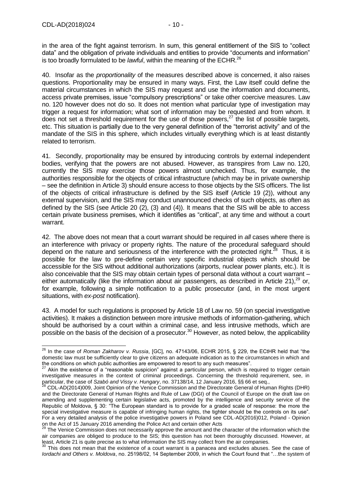in the area of the fight against terrorism. In sum, this general entitlement of the SIS to "collect data" and the obligation of private individuals and entities to provide "documents and information" is too broadly formulated to be *lawful*, within the meaning of the ECHR.<sup>26</sup>

40. Insofar as the *proportionality* of the measures described above is concerned, it also raises questions. Proportionality may be ensured in many ways. First, the Law itself could define the material circumstances in which the SIS may request and use the information and documents, access private premises, issue "compulsory prescriptions" or take other coercive measures. Law no. 120 however does not do so. It does not mention what particular type of investigation may trigger a request for information; what sort of information may be requested and from whom. It does not set a threshold requirement for the use of those powers.<sup>27</sup> the list of possible targets, etc. This situation is partially due to the very general definition of the "terrorist activity" and of the mandate of the SIS in this sphere, which includes virtually everything which is at least distantly related to terrorism.

41. Secondly, proportionality may be ensured by introducing controls by external independent bodies, verifying that the powers are not abused. However, as transpires from Law no. 120, currently the SIS may exercise those powers almost unchecked. Thus, for example, the authorities responsible for the objects of critical infrastructure (which may be in private ownership – see the definition in Article 3) should ensure access to those objects by the SIS officers. The list of the objects of critical infrastructure is defined by the SIS itself (Article 19 (2)), without any external supervision, and the SIS may conduct unannounced checks of such objects, as often as defined by the SIS (see Article 20 (2), (3) and (4)). It means that the SIS will be able to access certain private business premises, which it identifies as "critical", at any time and without a court warrant.

42. The above does not mean that a court warrant should be required in *all* cases where there is an interference with privacy or property rights. The nature of the procedural safeguard should depend on the nature and seriousness of the interference with the protected right.<sup>28</sup> Thus, it is possible for the law to pre-define certain very specific industrial objects which should be accessible for the SIS without additional authorizations (airports, nuclear power plants, etc.). It is also conceivable that the SIS may obtain certain types of personal data without a court warrant – either automatically (like the information about air passengers, as described in Article 21),<sup>29</sup> or, for example, following a simple notification to a public prosecutor (and, in the most urgent situations, with *ex-post* notification).

43. A model for such regulations is proposed by Article 18 of Law no. 59 (on special investigative activities). It makes a distinction between more intrusive methods of information-gathering, which should be authorised by a court within a criminal case, and less intrusive methods, which are possible on the basis of the decision of a prosecutor.<sup>30</sup> However, as noted below, the applicability

<sup>-</sup><sup>26</sup> In the case of *Roman Zakharov v. Russia*, [GC], no. 47143/06, ECHR 2015, § 229, the ECtHR held that "the domestic law must be sufficiently clear to give citizens an adequate indication as to the circumstances in which and the conditions on which public authorities are empowered to resort to any such measures".

Akin the existence of a "reasonable suspicion" against a particular person, which is required to trigger certain investigative measures in the context of criminal proceedings. Concerning the threshold requirement, see, in particular, the case of *Szabó and Vissy v. Hungary*, no. 37138/14, 12 January 2016, §§ 66 et seq.,

<sup>&</sup>lt;sup>28</sup> CDL-AD(2014)009, Joint Opinion of the Venice Commission and the Directorate General of Human Rights (DHR) and the Directorate General of Human Rights and Rule of Law (DGI) of the Council of Europe on the draft law on amending and supplementing certain legislative acts, promoted by the intelligence and security service of the Republic of Moldova, § 30: "The European standard is to provide for a graded scale of response: the more the special investigative measure is capable of infringing human rights, the tighter should be the controls on its use". For a very detailed analysis of the police investigative powers in Poland see CDL-AD(2016)012, Poland - Opinion on the Act of 15 January 2016 amending the Police Act and certain other Acts

<sup>&</sup>lt;sup>29</sup> The Venice Commission does not necessarily approve the amount and the character of the information which the air companies are obliged to produce to the SIS; this question has not been thoroughly discussed. However, at least, Article 21 is quite precise as to what information the SIS may collect from the air companies.

This does not mean that the existence of a court warrant is a panacea and excludes abuses. See the case of *Iordachi and Others v. Moldova*, no. 25198/02, 14 September 2009, in which the Court found that "…the system of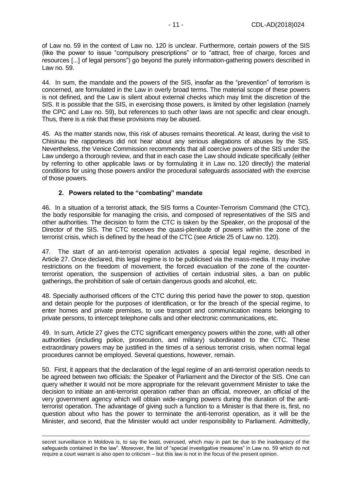of Law no. 59 in the context of Law no. 120 is unclear. Furthermore, certain powers of the SIS (like the power to issue "compulsory prescriptions" or to "attract, free of charge, forces and resources [...] of legal persons") go beyond the purely information-gathering powers described in Law no. 59.

44. In sum, the mandate and the powers of the SIS, insofar as the "prevention" of terrorism is concerned, are formulated in the Law in overly broad terms. The material scope of these powers is not defined, and the Law is silent about external checks which may limit the discretion of the SIS. It is possible that the SIS, in exercising those powers, is limited by other legislation (namely the CPC and Law no. 59), but references to such other laws are not specific and clear enough. Thus, there is a risk that these provisions may be abused.

45. As the matter stands now, this risk of abuses remains theoretical. At least, during the visit to Chisinau the rapporteurs did not hear about any serious allegations of abuses by the SIS. Nevertheless, the Venice Commission recommends that all coercive powers of the SIS under the Law undergo a thorough review, and that in each case the Law should indicate specifically (either by referring to other applicable laws or by formulating it in Law no. 120 directly) the material conditions for using those powers and/or the procedural safeguards associated with the exercise of those powers.

## **2. Powers related to the "combating" mandate**

<span id="page-10-0"></span>46. In a situation of a terrorist attack, the SIS forms a Counter-Terrorism Command (the CTC), the body responsible for managing the crisis, and composed of representatives of the SIS and other authorities. The decision to form the CTC is taken by the Speaker, on the proposal of the Director of the SIS. The CTC receives the quasi-plenitude of powers within the zone of the terrorist crisis, which is defined by the head of the CTC (see Article 25 of Law no. 120).

47. The start of an anti-terrorist operation activates a special legal regime, described in Article 27. Once declared, this legal regime is to be publicised via the mass-media. It may involve restrictions on the freedom of movement, the forced evacuation of the zone of the counterterrorist operation, the suspension of activities of certain industrial sites, a ban on public gatherings, the prohibition of sale of certain dangerous goods and alcohol, etc.

48. Specially authorised officers of the CTC during this period have the power to stop, question and detain people for the purposes of identification, or for the breach of the special regime, to enter homes and private premises, to use transport and communication means belonging to private persons, to intercept telephone calls and other electronic communications, etc.

49. In sum, Article 27 gives the CTC significant emergency powers within the zone, with all other authorities (including police, prosecution, and military) subordinated to the CTC. These extraordinary powers may be justified in the times of a serious terrorist crisis, when normal legal procedures cannot be employed. Several questions, however, remain.

50. First, it appears that the declaration of the legal regime of an anti-terrorist operation needs to be agreed between two officials: the Speaker of Parliament and the Director of the SIS. One can query whether it would not be more appropriate for the relevant government Minister to take the decision to initiate an anti-terrorist operation rather than an official, moreover, an official of the very government agency which will obtain wide-ranging powers during the duration of the antiterrorist operation. The advantage of giving such a function to a Minister is that there is, first, no question about who has the power to terminate the anti-terrorist operation, as it will be the Minister, and second, that the Minister would act under responsibility to Parliament. Admittedly,

secret surveillance in Moldova is, to say the least, overused, which may in part be due to the inadequacy of the safeguards contained in the law". Moreover, the list of "special investigative measures" in Law no. 59 which do not require a court warrant is also open to criticism – but this law is not in the focus of the present opinion.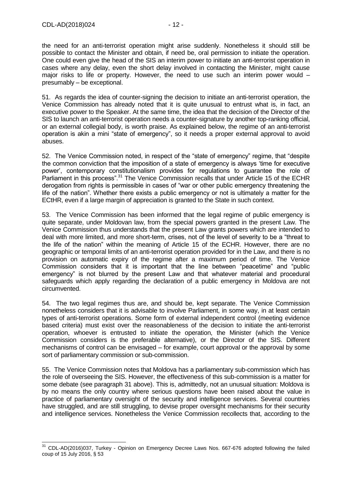-

the need for an anti-terrorist operation might arise suddenly. Nonetheless it should still be possible to contact the Minister and obtain, if need be, oral permission to initiate the operation. One could even give the head of the SIS an interim power to initiate an anti-terrorist operation in cases where any delay, even the short delay involved in contacting the Minister, might cause major risks to life or property. However, the need to use such an interim power would – presumably – be exceptional.

51. As regards the idea of counter-signing the decision to initiate an anti-terrorist operation, the Venice Commission has already noted that it is quite unusual to entrust what is, in fact, an executive power to the Speaker. At the same time, the idea that the decision of the Director of the SIS to launch an anti-terrorist operation needs a counter-signature by another top-ranking official, or an external collegial body, is worth praise. As explained below, the regime of an anti-terrorist operation is akin a mini "state of emergency", so it needs a proper external approval to avoid abuses.

52. The Venice Commission noted, in respect of the "state of emergency" regime, that "despite the common conviction that the imposition of a state of emergency is always 'time for executive power', contemporary constitutionalism provides for regulations to guarantee the role of Parliament in this process".<sup>31</sup> The Venice Commission recalls that under Article 15 of the ECHR derogation from rights is permissible in cases of "war or other public emergency threatening the life of the nation". Whether there exists a public emergency or not is ultimately a matter for the ECtHR, even if a large margin of appreciation is granted to the State in such context.

53. The Venice Commission has been informed that the legal regime of public emergency is quite separate, under Moldovan law, from the special powers granted in the present Law. The Venice Commission thus understands that the present Law grants powers which are intended to deal with more limited, and more short-term, crises, not of the level of severity to be a "threat to the life of the nation" within the meaning of Article 15 of the ECHR. However, there are no geographic or temporal limits of an anti-terrorist operation provided for in the Law, and there is no provision on automatic expiry of the regime after a maximum period of time. The Venice Commission considers that it is important that the line between "peacetime" and "public emergency" is not blurred by the present Law and that whatever material and procedural safeguards which apply regarding the declaration of a public emergency in Moldova are not circumvented.

54. The two legal regimes thus are, and should be, kept separate. The Venice Commission nonetheless considers that it is advisable to involve Parliament, in some way, in at least certain types of anti-terrorist operations. Some form of external independent control (meeting evidence based criteria) must exist over the reasonableness of the decision to initiate the anti-terrorist operation, whoever is entrusted to initiate the operation, the Minister (which the Venice Commission considers is the preferable alternative), or the Director of the SIS. Different mechanisms of control can be envisaged – for example, court approval or the approval by some sort of parliamentary commission or sub-commission.

55. The Venice Commission notes that Moldova has a parliamentary sub-commission which has the role of overseeing the SIS. However, the effectiveness of this sub-commission is a matter for some debate (see paragraph 31 above). This is, admittedly, not an unusual situation: Moldova is by no means the only country where serious questions have been raised about the value in practice of parliamentary oversight of the security and intelligence services. Several countries have struggled, and are still struggling, to devise proper oversight mechanisms for their security and intelligence services. Nonetheless the Venice Commission recollects that, according to the

 $31$  CDL-AD(2016)037, Turkey - Opinion on Emergency Decree Laws Nos. 667-676 adopted following the failed coup of 15 July 2016, § 53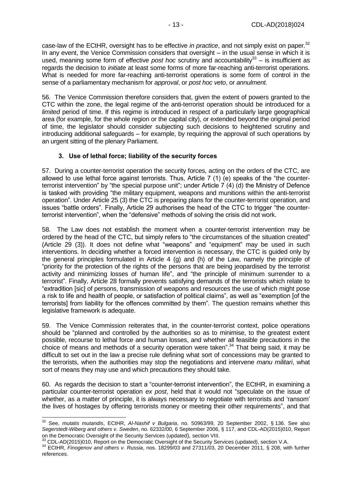case-law of the ECtHR, oversight has to be effective *in practice*, and not simply exist on paper.<sup>32</sup> In any event, the Venice Commission considers that oversight – in the usual sense in which it is used, meaning some form of effective *post hoc* scrutiny and accountability<sup>33</sup> – is insufficient as regards the decision to *initiate* at least some forms of more far-reaching anti-terrorist operations. What is needed for more far-reaching anti-terrorist operations is some form of control in the sense of a parliamentary mechanism for *approval*, or *post hoc veto*, or *annulment*.

56. The Venice Commission therefore considers that, given the extent of powers granted to the CTC within the zone, the legal regime of the anti-terrorist operation should be introduced for a *limited* period of time. If this regime is introduced in respect of a particularly large geographical area (for example, for the whole region or the capital city), or extended beyond the original period of time, the legislator should consider subjecting such decisions to heightened scrutiny and introducing additional safeguards – for example, by requiring the approval of such operations by an urgent sitting of the plenary Parliament.

## **3. Use of lethal force; liability of the security forces**

<span id="page-12-0"></span>57. During a counter-terrorist operation the security forces, acting on the orders of the CTC, are allowed to use lethal force against terrorists. Thus, Article 7 (1) (e) speaks of the "the counterterrorist intervention" by "the special purpose unit"; under Article 7 (4) (d) the Ministry of Defence is tasked with providing "the military equipment, weapons and munitions within the anti-terrorist operation". Under Article 25 (3) the CTC is preparing plans for the counter-terrorist operation, and issues "battle orders". Finally, Article 29 authorises the head of the CTC to trigger "the counterterrorist intervention", when the "defensive" methods of solving the crisis did not work.

58. The Law does not establish the moment when a counter-terrorist intervention may be ordered by the head of the CTC, but simply refers to "the circumstances of the situation created" (Article 29 (3)). It does not define what "weapons" and "equipment" may be used in such interventions. In deciding whether a forced intervention is necessary, the CTC is guided only by the general principles formulated in Article 4 (g) and (h) of the Law, namely the principle of "priority for the protection of the rights of the persons that are being jeopardised by the terrorist activity and minimizing losses of human life", and "the principle of minimum surrender to a terrorist". Finally, Article 28 formally prevents satisfying demands of the terrorists which relate to "extradition [sic] of persons, transmission of weapons and resources the use of which might pose a risk to life and health of people, or satisfaction of political claims", as well as "exemption [of the terrorists] from liability for the offences committed by them". The question remains whether this legislative framework is adequate.

59. The Venice Commission reiterates that, in the counter-terrorist context, police operations should be "planned and controlled by the authorities so as to minimise, to the greatest extent possible, recourse to lethal force and human losses, and whether all feasible precautions in the choice of means and methods of a security operation were taken".<sup>34</sup> That being said, it may be difficult to set out in the law a precise rule defining what sort of concessions may be granted to the terrorists, when the authorities may stop the negotiations and intervene *manu militari*, what sort of means they may use and which precautions they should take.

60. As regards the decision to start a "counter-terrorist intervention", the ECtHR, in examining a particular counter-terrorist operation *ex post*, held that it would not "speculate on the issue of whether, as a matter of principle, it is always necessary to negotiate with terrorists and 'ransom' the lives of hostages by offering terrorists money or meeting their other requirements", and that

 $\overline{a}$ 

<sup>32</sup> See, *mutatis mutandis*, ECtHR, *Al-Nashif v Bulgaria*, no. 50963/99, 20 September 2002, § 136. See also *Segerstedt-Wiberg and others v. Sweden*, no. 62332/00, 6 September 2006, § 117, and CDL-AD(2015)010, Report on the Democratic Oversight of the Security Services (updated), section VIII.

<sup>33</sup> CDL-AD(2015)010, Report on the Democratic Oversight of the Security Services (updated), section V.A.

<sup>&</sup>lt;sup>34</sup> ECtHR, *Finogenov and others v. Russia*, nos. 18299/03 and 27311/03, 20 December 2011, § 208, with further references.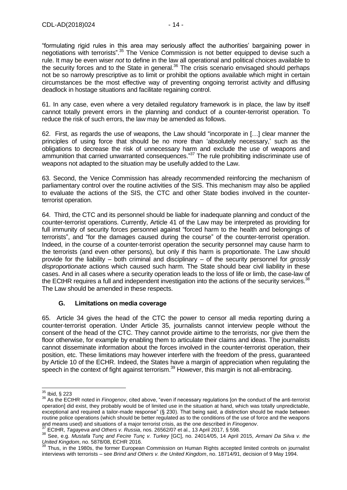"formulating rigid rules in this area may seriously affect the authorities' bargaining power in negotiations with terrorists".<sup>35</sup> The Venice Commission is not better equipped to devise such a rule. It may be even wiser *not* to define in the law all operational and political choices available to the security forces and to the State in general.<sup>36</sup> The crisis scenario envisaged should perhaps not be so narrowly prescriptive as to limit or prohibit the options available which might in certain circumstances be the most effective way of preventing ongoing terrorist activity and diffusing deadlock in hostage situations and facilitate regaining control.

61. In any case, even where a very detailed regulatory framework is in place, the law by itself cannot totally prevent errors in the planning and conduct of a counter-terrorist operation. To reduce the risk of such errors, the law may be amended as follows.

62. First, as regards the use of weapons, the Law should "incorporate in […] clear manner the principles of using force that should be no more than 'absolutely necessary,' such as the obligations to decrease the risk of unnecessary harm and exclude the use of weapons and ammunition that carried unwarranted consequences."<sup>37</sup> The rule prohibiting indiscriminate use of weapons not adapted to the situation may be usefully added to the Law.

63. Second, the Venice Commission has already recommended reinforcing the mechanism of parliamentary control over the routine activities of the SIS. This mechanism may also be applied to evaluate the actions of the SIS, the CTC and other State bodies involved in the counterterrorist operation.

64. Third, the CTC and its personnel should be liable for inadequate planning and conduct of the counter-terrorist operations. Currently, Article 41 of the Law may be interpreted as providing for full immunity of security forces personnel against "forced harm to the health and belongings of terrorists", and "for the damages caused during the course" of the counter-terrorist operation. Indeed, in the course of a counter-terrorist operation the security personnel may cause harm to the terrorists (and even other persons), but only if this harm is proportionate. The Law should provide for the liability – both criminal and disciplinary – of the security personnel for *grossly disproportionate* actions which caused such harm. The State should bear civil liability in these cases. And in all cases where a security operation leads to the loss of life or limb, the case-law of the ECtHR requires a full and independent investigation into the actions of the security services.<sup>38</sup> The Law should be amended in these respects.

#### **G. Limitations on media coverage**

<span id="page-13-0"></span>65. Article 34 gives the head of the CTC the power to censor all media reporting during a counter-terrorist operation. Under Article 35, journalists cannot interview people without the consent of the head of the CTC. They cannot provide airtime to the terrorists, nor give them the floor otherwise, for example by enabling them to articulate their claims and ideas. The journalists cannot disseminate information about the forces involved in the counter-terrorist operation, their position, etc. These limitations may however interfere with the freedom of the press, guaranteed by Article 10 of the ECHR. Indeed, the States have a margin of appreciation when regulating the speech in the context of fight against terrorism.<sup>39</sup> However, this margin is not all-embracing.

 $\overline{a}$ 

 $35$  Ibid, § 223

<sup>36</sup> As the ECtHR noted in *Finogenov*, cited above, "even if necessary regulations [on the conduct of the anti-terrorist operation] did exist, they probably would be of limited use in the situation at hand, which was totally unpredictable, exceptional and required a tailor-made response" (§ 230). That being said, a distinction should be made between routine police operations (which should be better regulated as to the conditions of the use of force and the weapons and means used) and situations of a major terrorist crisis, as the one described in *Finogenov*.

<sup>37</sup> ECtHR, *Tagayeva and Others v. Russia*, nos. 26562/07 et al., 13 April 2017, § 598.

<sup>38</sup> See, e.g. *Mustafa Tunç and Fecire Tunç v. Turkey* [GC], no. 24014/05, 14 April 2015, *Armani Da Silva v. the United Kingdom*, no. 5878/08, ECHR 2016.

Thus, in the 1980s, the former European Commission on Human Rights accepted limited controls on journalist interviews with terrorists – see *Brind and Others v. the United Kingdom*, no. 18714/91, decision of 9 May 1994.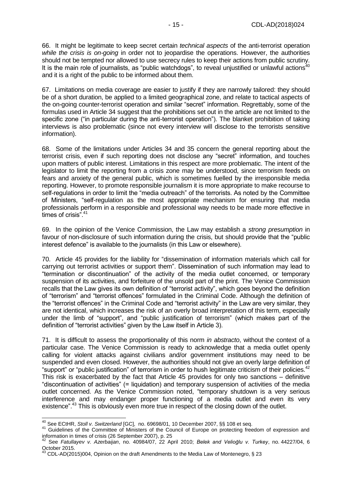66. It might be legitimate to keep secret certain *technical aspects* of the anti-terrorist operation *while the crisis is on-going* in order not to jeopardise the operations. However, the authorities should not be tempted nor allowed to use secrecy rules to keep their actions from public scrutiny. It is the main role of journalists, as "public watchdogs", to reveal unjustified or unlawful actions<sup>40</sup> and it is a right of the public to be informed about them.

67. Limitations on media coverage are easier to justify if they are narrowly tailored: they should be of a short duration, be applied to a limited geographical zone, and relate to tactical aspects of the on-going counter-terrorist operation and similar "secret" information. Regrettably, some of the formulas used in Article 34 suggest that the prohibitions set out in the article are not limited to the specific zone ("in particular during the anti-terrorist operation"). The blanket prohibition of taking interviews is also problematic (since not every interview will disclose to the terrorists sensitive information).

68. Some of the limitations under Articles 34 and 35 concern the general reporting about the terrorist crisis, even if such reporting does not disclose any "secret" information, and touches upon matters of public interest. Limitations in this respect are more problematic. The intent of the legislator to limit the reporting from a crisis zone may be understood, since terrorism feeds on fears and anxiety of the general public, which is sometimes fuelled by the irresponsible media reporting. However, to promote responsible journalism it is more appropriate to make recourse to self-regulations in order to limit the "media outreach" of the terrorists. As noted by the Committee of Ministers, "self-regulation as the most appropriate mechanism for ensuring that media professionals perform in a responsible and professional way needs to be made more effective in times of crisis".<sup>41</sup>

69. In the opinion of the Venice Commission, the Law may establish a *strong presumption* in favour of non-disclosure of such information during the crisis, but should provide that the "public interest defence" is available to the journalists (in this Law or elsewhere).

70. Article 45 provides for the liability for "dissemination of information materials which call for carrying out terrorist activities or support them". Dissemination of such information may lead to "termination or discontinuation" of the activity of the media outlet concerned, or temporary suspension of its activities, and forfeiture of the unsold part of the print. The Venice Commission recalls that the Law gives its own definition of "terrorist activity", which goes beyond the definition of "terrorism" and "terrorist offences" formulated in the Criminal Code. Although the definition of the "terrorist offences" in the Criminal Code and "terrorist activity" in the Law are very similar, they are not identical, which increases the risk of an overly broad interpretation of this term, especially under the limb of "support", and "public justification of terrorism" (which makes part of the definition of "terrorist activities" given by the Law itself in Article 3).

71. It is difficult to assess the proportionality of this norm *in abstracto*, without the context of a particular case. The Venice Commission is ready to acknowledge that a media outlet openly calling for violent attacks against civilians and/or government institutions may need to be suspended and even closed. However, the authorities should not give an overly large definition of "support" or "public justification" of terrorism in order to hush legitimate criticism of their policies.<sup>42</sup> This risk is exacerbated by the fact that Article 45 provides for only two sanctions – definitive "discontinuation of activities" (= liquidation) and temporary suspension of activities of the media outlet concerned. As the Venice Commission noted, "temporary shutdown is a very serious interference and may endanger proper functioning of a media outlet and even its very existence".<sup>43</sup> This is obviously even more true in respect of the closing down of the outlet.

 $\overline{a}$ 

<sup>40</sup> See ECtHR, *Stoll v. Switzerland* [GC], no. 69698/01, 10 December 2007, §§ 108 et seq.

<sup>41</sup> Guidelines of the Committee of Ministers of the Council of Europe on protecting freedom of expression and information in times of crisis (26 September 2007), p. 25

<sup>42</sup> See *Fatullayev v. Azerbaijan*, no. 40984/07, 22 April 2010; *Belek and Velioğlu v. Turkey*, no. 44227/04, 6 October 2015.

 $^{43}$  CDL-AD(2015)004, Opinion on the draft Amendments to the Media Law of Montenegro, § 23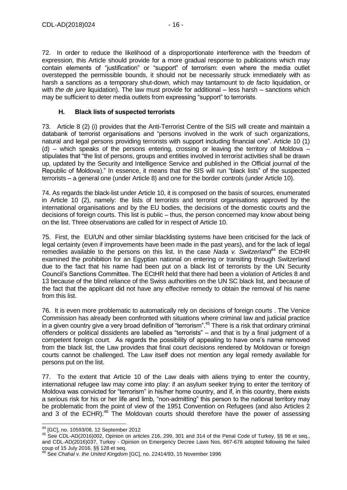72. In order to reduce the likelihood of a disproportionate interference with the freedom of expression, this Article should provide for a more gradual response to publications which may contain elements of "justification" or "support" of terrorism: even where the media outlet overstepped the permissible bounds, it should not be necessarily struck immediately with as harsh a sanctions as a temporary shut-down, which may tantamount to *de facto* liquidation, or with *the de jure* liquidation). The law must provide for additional – less harsh – sanctions which may be sufficient to deter media outlets from expressing "support" to terrorists.

#### **H. Black lists of suspected terrorists**

<span id="page-15-0"></span>73. Article 8 (2) (i) provides that the Anti-Terrorist Centre of the SIS will create and maintain a databank of terrorist organisations and "persons involved in the work of such organizations, natural and legal persons providing terrorists with support including financial one". Article 10 (1) (d) – which speaks of the persons entering, crossing or leaving the territory of Moldova – stipulates that "the list of persons, groups and entities involved in terrorist activities shall be drawn up, updated by the Security and Intelligence Service and published in the Official journal of the Republic of Moldova)." In essence, it means that the SIS will run "black lists" of the suspected terrorists – a general one (under Article 8) and one for the border controls (under Article 10).

74. As regards the black-list under Article 10, it is composed on the basis of sources, enumerated in Article 10 (2), namely: the lists of terrorists and terrorist organisations approved by the international organisations and by the EU bodies, the decisions of the domestic courts and the decisions of foreign courts. This list is public – thus, the person concerned may know about being on the list. Three observations are called for in respect of Article 10.

75. First, the EU/UN and other similar blacklisting systems have been criticised for the lack of legal certainty (even if improvements have been made in the past years), and for the lack of legal remedies available to the persons on this list. In the case *Nada v. Switzerland*<sup>44</sup> the ECtHR examined the prohibition for an Egyptian national on entering or transiting through Switzerland due to the fact that his name had been put on a black list of terrorists by the UN Security Council's Sanctions Committee. The ECtHR held that there had been a violation of Articles 8 and 13 because of the blind reliance of the Swiss authorities on the UN SC black list, and because of the fact that the applicant did not have any effective remedy to obtain the removal of his name from this list.

76. It is even more problematic to automatically rely on decisions of foreign courts . The Venice Commission has already been confronted with situations where criminal law and judicial practice in a given country give a very broad definition of "terrorism".<sup>45</sup> There is a risk that ordinary criminal offenders or political dissidents are labelled as "terrorists" – and that is by a final judgment of a competent foreign court. As regards the possibility of appealing to have one's name removed from the black list, the Law provides that final court decisions rendered by Moldovan or foreign courts cannot be challenged. The Law itself does not mention any legal remedy available for persons put on the list.

77. To the extent that Article 10 of the Law deals with aliens trying to enter the country, international refugee law may come into play: if an asylum seeker trying to enter the territory of Moldova was convicted for "terrorism" in his/her home country, and if, in this country, there exists a serious risk for his or her life and limb, "non-admitting" this person to the national territory may be problematic from the point of view of the 1951 Convention on Refugees (and also Articles 2 and 3 of the ECHR). $46$  The Moldovan courts should therefore have the power of assessing

<sup>44</sup> [GC], no. 10593/08, 12 September 2012

<sup>45</sup> See CDL-AD(2016)002, Opinion on articles 216, 299, 301 and 314 of the Penal Code of Turkey, §§ 98 et seq., and CDL-AD(2016)037, Turkey - Opinion on Emergency Decree Laws Nos. 667-676 adopted following the failed coup of 15 July 2016, §§ 128 et seq.

<sup>46</sup> See *Chahal v. the United Kingdom* [GC], no. 22414/93, 15 November 1996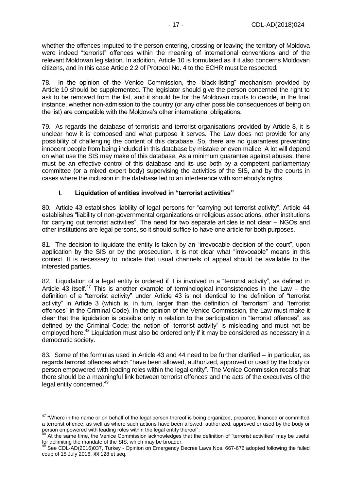whether the offences imputed to the person entering, crossing or leaving the territory of Moldova were indeed "terrorist" offences within the meaning of international conventions and of the relevant Moldovan legislation. In addition, Article 10 is formulated as if it also concerns Moldovan citizens, and in this case Article 2.2 of Protocol No. 4 to the ECHR must be respected.

78. In the opinion of the Venice Commission, the "black-listing" mechanism provided by Article 10 should be supplemented. The legislator should give the person concerned the right to ask to be removed from the list, and it should be for the Moldovan courts to decide, in the final instance, whether non-admission to the country (or any other possible consequences of being on the list) are compatible with the Moldova's other international obligations.

79. As regards the database of terrorists and terrorist organisations provided by Article 8, it is unclear how it is composed and what purpose it serves. The Law does not provide for any possibility of challenging the content of this database. So, there are no guarantees preventing innocent people from being included in this database by mistake or even malice. A lot will depend on what use the SIS may make of this database. As a minimum guarantee against abuses, there must be an effective control of this database and its use both by a competent parliamentary committee (or a mixed expert body) supervising the activities of the SIS, and by the courts in cases where the inclusion in the database led to an interference with somebody's rights.

#### **I. Liquidation of entities involved in "terrorist activities"**

<span id="page-16-0"></span>80. Article 43 establishes liability of legal persons for "carrying out terrorist activity". Article 44 establishes "liability of non-governmental organizations or religious associations, other institutions for carrying out terrorist activities". The need for two separate articles is not clear – NGOs and other institutions are legal persons, so it should suffice to have one article for both purposes.

81. The decision to liquidate the entity is taken by an "irrevocable decision of the court", upon application by the SIS or by the prosecution. It is not clear what "irrevocable" means in this context. It is necessary to indicate that usual channels of appeal should be available to the interested parties.

82. Liquidation of a legal entity is ordered if it is involved in a "terrorist activity", as defined in Article 43 itself.<sup>47</sup> This is another example of terminological inconsistencies in the Law – the definition of a "terrorist activity" under Article 43 is not identical to the definition of "terrorist activity" in Article 3 (which is, in turn, larger than the definition of "terrorism" and "terrorist offences" in the Criminal Code). In the opinion of the Venice Commission, the Law must make it clear that the liquidation is possible only in relation to the participation in "terrorist offences", as defined by the Criminal Code; the notion of "terrorist activity" is misleading and must not be employed here.<sup>48</sup> Liquidation must also be ordered only if it may be considered as necessary in a democratic society.

83. Some of the formulas used in Article 43 and 44 need to be further clarified – in particular, as regards terrorist offences which "have been allowed, authorized, approved or used by the body or person empowered with leading roles within the legal entity". The Venice Commission recalls that there should be a meaningful link between terrorist offences and the acts of the executives of the legal entity concerned.<sup>49</sup>

<sup>-</sup><sup>47</sup> "Where in the name or on behalf of the legal person thereof is being organized, prepared, financed or committed a terrorist offence, as well as where such actions have been allowed, authorized, approved or used by the body or person empowered with leading roles within the legal entity thereof".

<sup>48</sup> At the same time, the Venice Commission acknowledges that the definition of "terrorist activities" may be useful for delimiting the mandate of the SIS, which may be broader.

<sup>&</sup>lt;sup>49</sup> See CDL-AD(2016)037, Turkey - Opinion on Emergency Decree Laws Nos. 667-676 adopted following the failed coup of 15 July 2016, §§ 128 et seq.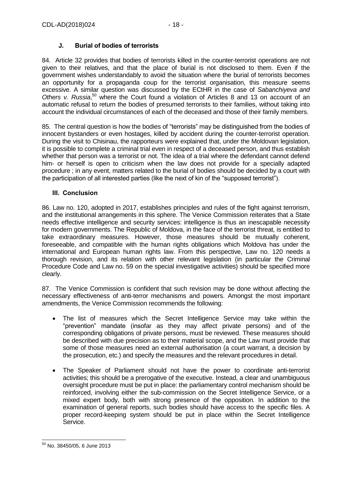# **J. Burial of bodies of terrorists**

<span id="page-17-0"></span>84. Article 32 provides that bodies of terrorists killed in the counter-terrorist operations are not given to their relatives, and that the place of burial is not disclosed to them. Even if the government wishes understandably to avoid the situation where the burial of terrorists becomes an opportunity for a propaganda coup for the terrorist organisation, this measure seems excessive. A similar question was discussed by the ECtHR in the case of *Sabanchiyeva and*  Others v. Russia,<sup>50</sup> where the Court found a violation of Articles 8 and 13 on account of an automatic refusal to return the bodies of presumed terrorists to their families, without taking into account the individual circumstances of each of the deceased and those of their family members.

85. The central question is how the bodies of "terrorists" may be distinguished from the bodies of innocent bystanders or even hostages, killed by accident during the counter-terrorist operation. During the visit to Chisinau, the rapporteurs were explained that, under the Moldovan legislation, it is possible to complete a criminal trial even in respect of a deceased person, and thus establish whether that person was a terrorist or not. The idea of a trial where the defendant cannot defend him- or herself is open to criticism when the law does not provide for a specially adapted procedure ; in any event, matters related to the burial of bodies should be decided by a court with the participation of all interested parties (like the next of kin of the "supposed terrorist").

## <span id="page-17-1"></span>**III. Conclusion**

86. Law no. 120, adopted in 2017, establishes principles and rules of the fight against terrorism, and the institutional arrangements in this sphere. The Venice Commission reiterates that a State needs effective intelligence and security services: intelligence is thus an inescapable necessity for modern governments. The Republic of Moldova, in the face of the terrorist threat, is entitled to take extraordinary measures. However, those measures should be mutually coherent, foreseeable, and compatible with the human rights obligations which Moldova has under the international and European human rights law. From this perspective, Law no. 120 needs a thorough revision, and its relation with other relevant legislation (in particular the Criminal Procedure Code and Law no. 59 on the special investigative activities) should be specified more clearly.

87. The Venice Commission is confident that such revision may be done without affecting the necessary effectiveness of anti-terror mechanisms and powers. Amongst the most important amendments, the Venice Commission recommends the following:

- The list of measures which the Secret Intelligence Service may take within the "prevention" mandate (insofar as they may affect private persons) and of the corresponding obligations of private persons, must be reviewed. These measures should be described with due precision as to their material scope, and the Law must provide that some of those measures need an external authorisation (a court warrant, a decision by the prosecution, etc.) and specify the measures and the relevant procedures in detail.
- The Speaker of Parliament should not have the power to coordinate anti-terrorist activities; this should be a prerogative of the executive. Instead, a clear and unambiguous oversight procedure must be put in place: the parliamentary control mechanism should be reinforced, involving either the sub-commission on the Secret Intelligence Service, or a mixed expert body, both with strong presence of the opposition. In addition to the examination of general reports, such bodies should have access to the specific files. A proper record-keeping system should be put in place within the Secret Intelligence Service.

 $\overline{\phantom{a}}$ <sup>50</sup> No. 38450/05, 6 June 2013